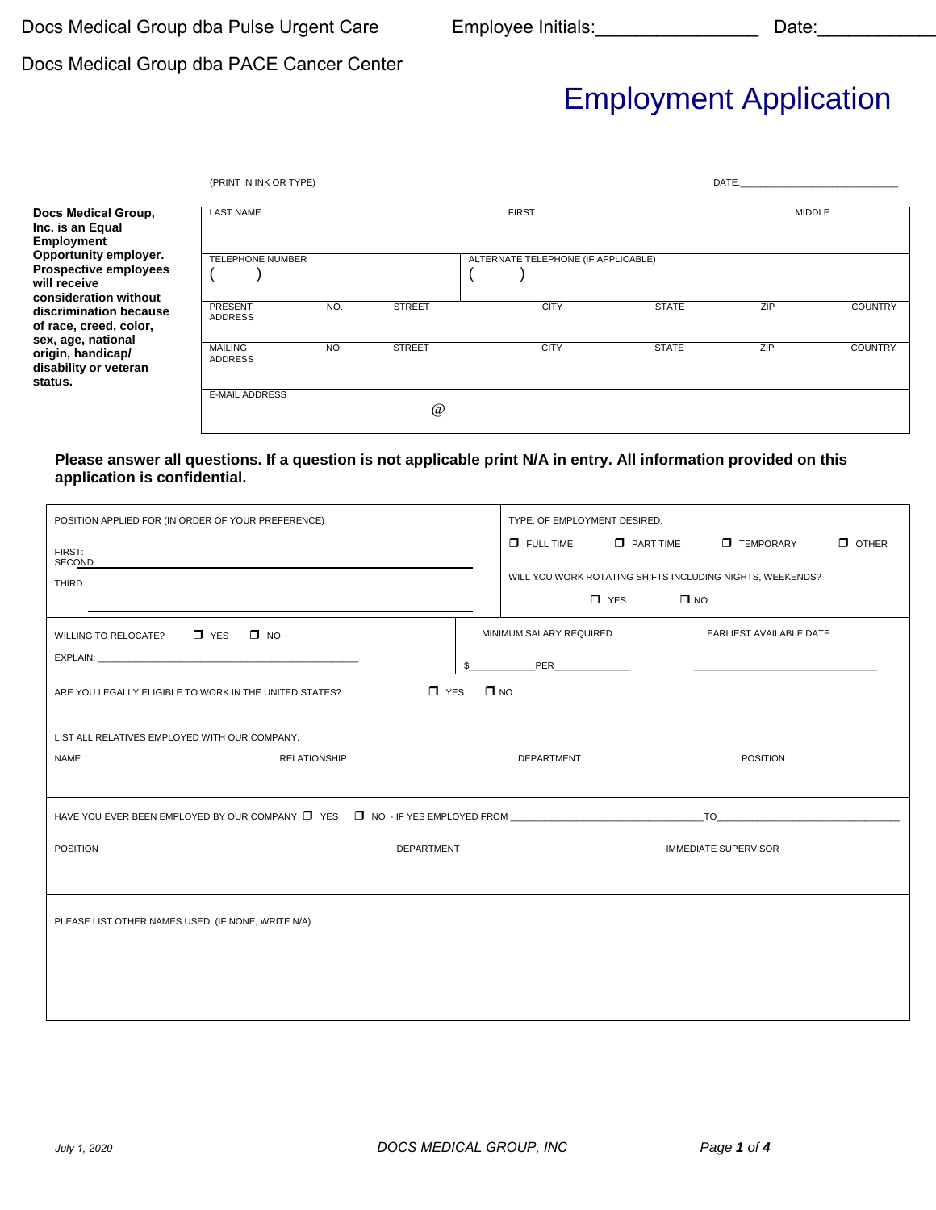### Docs Medical Group dba PACE Cancer Center

# Employment Application

|                                                                                                | (PRINT IN INK OR TYPE)           |     |               |                                     |             |              | DATE: the contract of the contract of the contract of the contract of the contract of the contract of the contract of the contract of the contract of the contract of the contract of the contract of the contract of the cont |                |
|------------------------------------------------------------------------------------------------|----------------------------------|-----|---------------|-------------------------------------|-------------|--------------|--------------------------------------------------------------------------------------------------------------------------------------------------------------------------------------------------------------------------------|----------------|
| Docs Medical Group,<br>Inc. is an Equal<br>Employment                                          | <b>LAST NAME</b>                 |     |               | <b>FIRST</b>                        |             |              | <b>MIDDLE</b>                                                                                                                                                                                                                  |                |
| Opportunity employer.<br><b>Prospective employees</b><br>will receive<br>consideration without | <b>TELEPHONE NUMBER</b>          |     |               | ALTERNATE TELEPHONE (IF APPLICABLE) |             |              |                                                                                                                                                                                                                                |                |
| discrimination because<br>of race, creed, color,<br>sex, age, national                         | <b>PRESENT</b><br><b>ADDRESS</b> | NO. | <b>STREET</b> |                                     | <b>CITY</b> | <b>STATE</b> | ZIP                                                                                                                                                                                                                            | <b>COUNTRY</b> |
| origin, handicap/<br>disability or veteran<br>status.                                          | <b>MAILING</b><br><b>ADDRESS</b> | NO. | <b>STREET</b> |                                     | <b>CITY</b> | <b>STATE</b> | ZIP                                                                                                                                                                                                                            | <b>COUNTRY</b> |
|                                                                                                | <b>E-MAIL ADDRESS</b>            |     | @             |                                     |             |              |                                                                                                                                                                                                                                |                |

#### **Please answer all questions. If a question is not applicable print N/A in entry. All information provided on this application is confidential.**

| POSITION APPLIED FOR (IN ORDER OF YOUR PREFERENCE)                                                                                                                                                                             | TYPE: OF EMPLOYMENT DESIRED:                                             |  |  |  |  |  |
|--------------------------------------------------------------------------------------------------------------------------------------------------------------------------------------------------------------------------------|--------------------------------------------------------------------------|--|--|--|--|--|
| FIRST:                                                                                                                                                                                                                         | $\Box$ OTHER<br>$\Box$ PART TIME<br><b>TEMPORARY</b><br>$\Box$ FULL TIME |  |  |  |  |  |
| SECOND:<br><u> 1989 - Andrea Andrew Maria (h. 1989).</u><br>1905 - Andrew Maria (h. 1906).                                                                                                                                     | WILL YOU WORK ROTATING SHIFTS INCLUDING NIGHTS, WEEKENDS?                |  |  |  |  |  |
|                                                                                                                                                                                                                                | $\Box$ YES<br>$\square$ NO                                               |  |  |  |  |  |
| WILLING TO RELOCATE? J YES J NO                                                                                                                                                                                                | MINIMUM SALARY REQUIRED<br><b>EARLIEST AVAILABLE DATE</b>                |  |  |  |  |  |
| EXPLAIN: The contract of the contract of the contract of the contract of the contract of the contract of the contract of the contract of the contract of the contract of the contract of the contract of the contract of the c | $\mathbb{S}$                                                             |  |  |  |  |  |
| $\Box$ YES<br>ARE YOU LEGALLY ELIGIBLE TO WORK IN THE UNITED STATES?                                                                                                                                                           | $\square$ NO                                                             |  |  |  |  |  |
|                                                                                                                                                                                                                                |                                                                          |  |  |  |  |  |
| LIST ALL RELATIVES EMPLOYED WITH OUR COMPANY:                                                                                                                                                                                  |                                                                          |  |  |  |  |  |
| <b>NAME</b><br><b>RELATIONSHIP</b>                                                                                                                                                                                             | <b>DEPARTMENT</b><br><b>POSITION</b>                                     |  |  |  |  |  |
|                                                                                                                                                                                                                                |                                                                          |  |  |  |  |  |
| HAVE YOU EVER BEEN EMPLOYED BY OUR COMPANY DIYES ON NO - IF YES EMPLOYED FROM COMPANY AND TO TO THE RESERVE TO                                                                                                                 |                                                                          |  |  |  |  |  |
| <b>POSITION</b><br><b>DEPARTMENT</b>                                                                                                                                                                                           | <b>IMMEDIATE SUPERVISOR</b>                                              |  |  |  |  |  |
|                                                                                                                                                                                                                                |                                                                          |  |  |  |  |  |
|                                                                                                                                                                                                                                |                                                                          |  |  |  |  |  |
| PLEASE LIST OTHER NAMES USED: (IF NONE, WRITE N/A)                                                                                                                                                                             |                                                                          |  |  |  |  |  |
|                                                                                                                                                                                                                                |                                                                          |  |  |  |  |  |
|                                                                                                                                                                                                                                |                                                                          |  |  |  |  |  |
|                                                                                                                                                                                                                                |                                                                          |  |  |  |  |  |
|                                                                                                                                                                                                                                |                                                                          |  |  |  |  |  |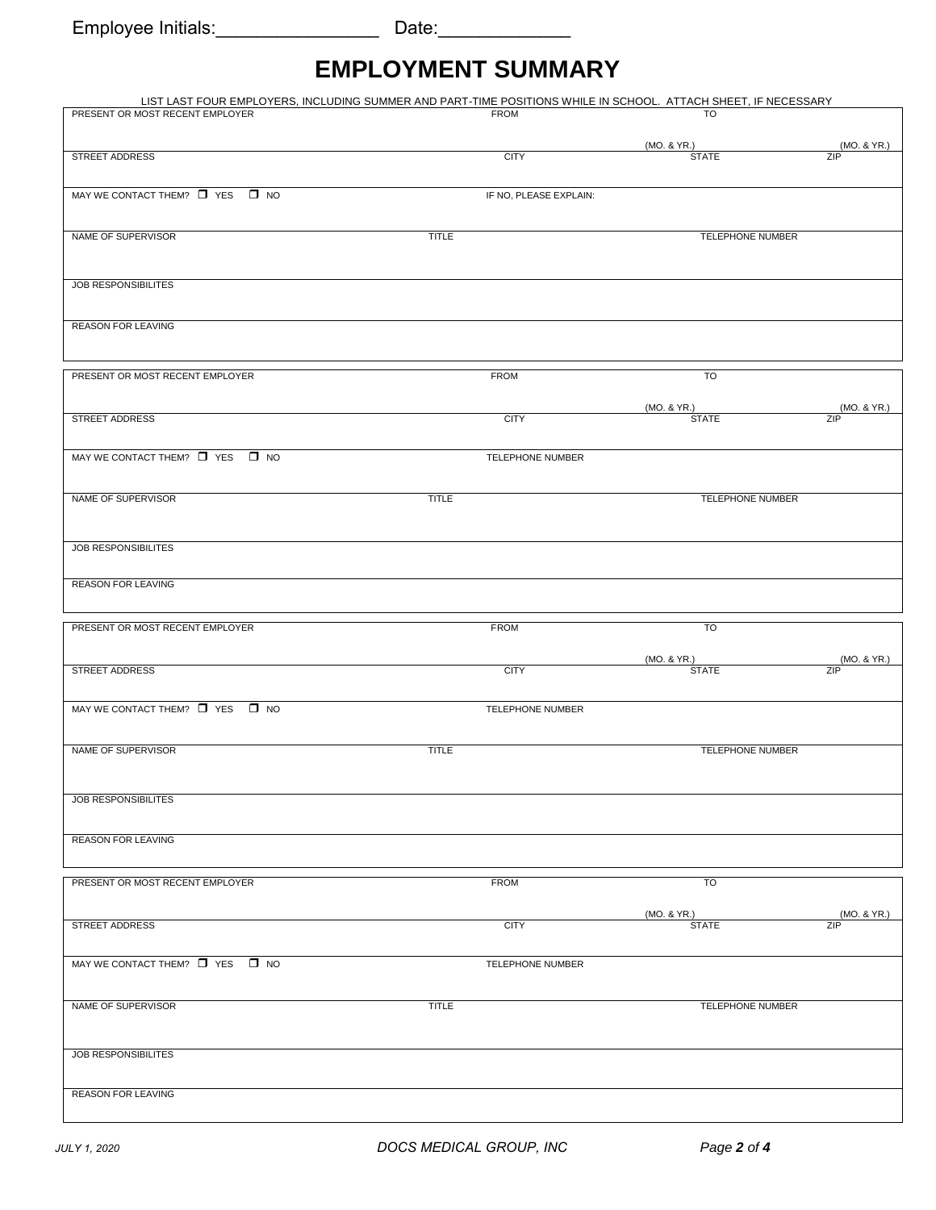## **EMPLOYMENT SUMMARY**

| LIST LAST FOUR EMPLOYERS, INCLUDING SUMMER AND PART-TIME POSITIONS WHILE IN SCHOOL. ATTACH SHEET, IF NECESSARY |              |                        |                             |                    |
|----------------------------------------------------------------------------------------------------------------|--------------|------------------------|-----------------------------|--------------------|
| PRESENT OR MOST RECENT EMPLOYER                                                                                |              | <b>FROM</b>            | TO                          |                    |
|                                                                                                                |              |                        |                             |                    |
|                                                                                                                |              |                        | (MO. & YR.)                 | (MO. & YR.)        |
| <b>STREET ADDRESS</b>                                                                                          |              | <b>CITY</b>            | <b>STATE</b>                | ZIP                |
|                                                                                                                |              |                        |                             |                    |
| MAY WE CONTACT THEM? $\Box$ YES $\Box$ NO                                                                      |              | IF NO, PLEASE EXPLAIN: |                             |                    |
|                                                                                                                |              |                        |                             |                    |
|                                                                                                                |              |                        |                             |                    |
| NAME OF SUPERVISOR                                                                                             | <b>TITLE</b> |                        | TELEPHONE NUMBER            |                    |
|                                                                                                                |              |                        |                             |                    |
|                                                                                                                |              |                        |                             |                    |
| <b>JOB RESPONSIBILITES</b>                                                                                     |              |                        |                             |                    |
|                                                                                                                |              |                        |                             |                    |
|                                                                                                                |              |                        |                             |                    |
| <b>REASON FOR LEAVING</b>                                                                                      |              |                        |                             |                    |
|                                                                                                                |              |                        |                             |                    |
|                                                                                                                |              |                        |                             |                    |
| PRESENT OR MOST RECENT EMPLOYER                                                                                |              | <b>FROM</b>            | TO                          |                    |
|                                                                                                                |              |                        |                             |                    |
|                                                                                                                |              |                        |                             |                    |
| <b>STREET ADDRESS</b>                                                                                          |              | <b>CITY</b>            | (MO. & YR.)<br><b>STATE</b> | (MO. & YR.)<br>ZIP |
|                                                                                                                |              |                        |                             |                    |
|                                                                                                                |              |                        |                             |                    |
| MAY WE CONTACT THEM? T YES T NO                                                                                |              | TELEPHONE NUMBER       |                             |                    |
|                                                                                                                |              |                        |                             |                    |
|                                                                                                                |              |                        |                             |                    |
| NAME OF SUPERVISOR                                                                                             | <b>TITLE</b> |                        | TELEPHONE NUMBER            |                    |
|                                                                                                                |              |                        |                             |                    |
|                                                                                                                |              |                        |                             |                    |
| <b>JOB RESPONSIBILITES</b>                                                                                     |              |                        |                             |                    |
|                                                                                                                |              |                        |                             |                    |
|                                                                                                                |              |                        |                             |                    |
| <b>REASON FOR LEAVING</b>                                                                                      |              |                        |                             |                    |
|                                                                                                                |              |                        |                             |                    |
| PRESENT OR MOST RECENT EMPLOYER                                                                                |              | <b>FROM</b>            | TO                          |                    |
|                                                                                                                |              |                        |                             |                    |
|                                                                                                                |              |                        |                             |                    |
| STREET ADDRESS                                                                                                 |              | <b>CITY</b>            | (MO. & YR.)<br><b>STATE</b> | (MO. & YR.)<br>ZIP |
|                                                                                                                |              |                        |                             |                    |
|                                                                                                                |              |                        |                             |                    |
| MAY WE CONTACT THEM? $\Box$ YES $\Box$ NO                                                                      |              | TELEPHONE NUMBER       |                             |                    |
|                                                                                                                |              |                        |                             |                    |
|                                                                                                                |              |                        |                             |                    |
| NAME OF SUPERVISOR                                                                                             | <b>TITLE</b> |                        | <b>TELEPHONE NUMBER</b>     |                    |
|                                                                                                                |              |                        |                             |                    |
|                                                                                                                |              |                        |                             |                    |
| JOB RESPONSIBILITES                                                                                            |              |                        |                             |                    |
|                                                                                                                |              |                        |                             |                    |
|                                                                                                                |              |                        |                             |                    |
| <b>REASON FOR LEAVING</b>                                                                                      |              |                        |                             |                    |
|                                                                                                                |              |                        |                             |                    |
|                                                                                                                |              |                        |                             |                    |
| PRESENT OR MOST RECENT EMPLOYER                                                                                |              | <b>FROM</b>            | TO                          |                    |
|                                                                                                                |              |                        |                             |                    |
|                                                                                                                |              |                        | (MO. & YR.)                 | (MO. & YR.)        |
| STREET ADDRESS                                                                                                 |              | <b>CITY</b>            | <b>STATE</b>                | ZIP                |
|                                                                                                                |              |                        |                             |                    |
| MAY WE CONTACT THEM? T YES T NO                                                                                |              | TELEPHONE NUMBER       |                             |                    |
|                                                                                                                |              |                        |                             |                    |
|                                                                                                                |              |                        |                             |                    |
| NAME OF SUPERVISOR                                                                                             | <b>TITLE</b> |                        | TELEPHONE NUMBER            |                    |
|                                                                                                                |              |                        |                             |                    |
|                                                                                                                |              |                        |                             |                    |
|                                                                                                                |              |                        |                             |                    |
| JOB RESPONSIBILITES                                                                                            |              |                        |                             |                    |
|                                                                                                                |              |                        |                             |                    |
| REASON FOR LEAVING                                                                                             |              |                        |                             |                    |
|                                                                                                                |              |                        |                             |                    |
|                                                                                                                |              |                        |                             |                    |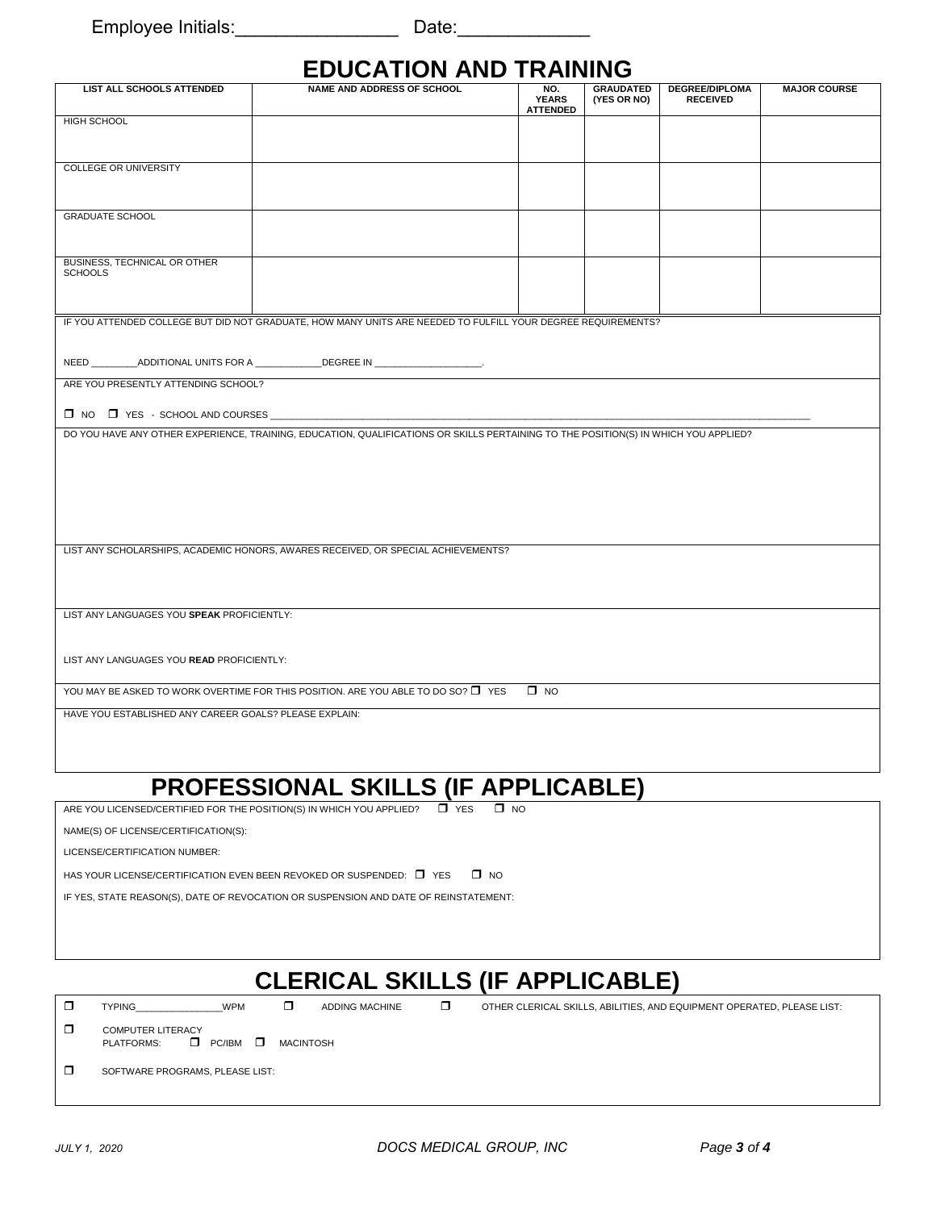Employee Initials:\_\_\_\_\_\_\_\_\_\_\_\_\_\_\_\_ Date:\_\_\_\_\_\_\_\_\_\_\_\_\_

### **EDUCATION AND TRAINING**

|                                                        | LPVVATIVII AIIP                                                                                                                     | $\blacksquare$                         |                                 |                                          |                     |
|--------------------------------------------------------|-------------------------------------------------------------------------------------------------------------------------------------|----------------------------------------|---------------------------------|------------------------------------------|---------------------|
| LIST ALL SCHOOLS ATTENDED                              | <b>NAME AND ADDRESS OF SCHOOL</b>                                                                                                   | NO.<br><b>YEARS</b><br><b>ATTENDED</b> | <b>GRAUDATED</b><br>(YES OR NO) | <b>DEGREE/DIPLOMA</b><br><b>RECEIVED</b> | <b>MAJOR COURSE</b> |
| HIGH SCHOOL                                            |                                                                                                                                     |                                        |                                 |                                          |                     |
|                                                        |                                                                                                                                     |                                        |                                 |                                          |                     |
| <b>COLLEGE OR UNIVERSITY</b>                           |                                                                                                                                     |                                        |                                 |                                          |                     |
|                                                        |                                                                                                                                     |                                        |                                 |                                          |                     |
| <b>GRADUATE SCHOOL</b>                                 |                                                                                                                                     |                                        |                                 |                                          |                     |
|                                                        |                                                                                                                                     |                                        |                                 |                                          |                     |
| BUSINESS, TECHNICAL OR OTHER<br><b>SCHOOLS</b>         |                                                                                                                                     |                                        |                                 |                                          |                     |
|                                                        |                                                                                                                                     |                                        |                                 |                                          |                     |
|                                                        | IF YOU ATTENDED COLLEGE BUT DID NOT GRADUATE, HOW MANY UNITS ARE NEEDED TO FULFILL YOUR DEGREE REQUIREMENTS?                        |                                        |                                 |                                          |                     |
|                                                        |                                                                                                                                     |                                        |                                 |                                          |                     |
|                                                        |                                                                                                                                     |                                        |                                 |                                          |                     |
|                                                        | NEED ___________ADDITIONAL UNITS FOR A _______________DEGREE IN _____________________.                                              |                                        |                                 |                                          |                     |
| ARE YOU PRESENTLY ATTENDING SCHOOL?                    |                                                                                                                                     |                                        |                                 |                                          |                     |
|                                                        |                                                                                                                                     |                                        |                                 |                                          |                     |
|                                                        |                                                                                                                                     |                                        |                                 |                                          |                     |
|                                                        |                                                                                                                                     |                                        |                                 |                                          |                     |
|                                                        | DO YOU HAVE ANY OTHER EXPERIENCE, TRAINING, EDUCATION, QUALIFICATIONS OR SKILLS PERTAINING TO THE POSITION(S) IN WHICH YOU APPLIED? |                                        |                                 |                                          |                     |
|                                                        |                                                                                                                                     |                                        |                                 |                                          |                     |
|                                                        |                                                                                                                                     |                                        |                                 |                                          |                     |
|                                                        |                                                                                                                                     |                                        |                                 |                                          |                     |
|                                                        |                                                                                                                                     |                                        |                                 |                                          |                     |
|                                                        |                                                                                                                                     |                                        |                                 |                                          |                     |
|                                                        |                                                                                                                                     |                                        |                                 |                                          |                     |
|                                                        |                                                                                                                                     |                                        |                                 |                                          |                     |
|                                                        | LIST ANY SCHOLARSHIPS, ACADEMIC HONORS, AWARES RECEIVED, OR SPECIAL ACHIEVEMENTS?                                                   |                                        |                                 |                                          |                     |
|                                                        |                                                                                                                                     |                                        |                                 |                                          |                     |
|                                                        |                                                                                                                                     |                                        |                                 |                                          |                     |
|                                                        |                                                                                                                                     |                                        |                                 |                                          |                     |
| LIST ANY LANGUAGES YOU SPEAK PROFICIENTLY:             |                                                                                                                                     |                                        |                                 |                                          |                     |
|                                                        |                                                                                                                                     |                                        |                                 |                                          |                     |
|                                                        |                                                                                                                                     |                                        |                                 |                                          |                     |
|                                                        |                                                                                                                                     |                                        |                                 |                                          |                     |
| LIST ANY LANGUAGES YOU READ PROFICIENTLY:              |                                                                                                                                     |                                        |                                 |                                          |                     |
|                                                        |                                                                                                                                     |                                        |                                 |                                          |                     |
|                                                        | YOU MAY BE ASKED TO WORK OVERTIME FOR THIS POSITION. ARE YOU ABLE TO DO SO? □ YES                                                   | $\square$ NO                           |                                 |                                          |                     |
| HAVE YOU ESTABLISHED ANY CAREER GOALS? PLEASE EXPLAIN: |                                                                                                                                     |                                        |                                 |                                          |                     |
|                                                        |                                                                                                                                     |                                        |                                 |                                          |                     |
|                                                        |                                                                                                                                     |                                        |                                 |                                          |                     |
|                                                        |                                                                                                                                     |                                        |                                 |                                          |                     |
|                                                        |                                                                                                                                     |                                        |                                 |                                          |                     |
|                                                        | .<br>. <u>.</u>                                                                                                                     |                                        |                                 |                                          |                     |

### **PROFESSIONAL SKILLS (IF APPLICABLE)**

ARE YOU LICENSED/CERTIFIED FOR THE POSITION(S) IN WHICH YOU APPLIED?  $\Box$  YES  $\Box$  NO

NAME(S) OF LICENSE/CERTIFICATION(S):

LICENSE/CERTIFICATION NUMBER:

HAS YOUR LICENSE/CERTIFICATION EVEN BEEN REVOKED OR SUSPENDED:  $\Box$  YES  $\Box$  NO

IF YES, STATE REASON(S), DATE OF REVOCATION OR SUSPENSION AND DATE OF REINSTATEMENT:

### **CLERICAL SKILLS (IF APPLICABLE)**

 $\Box$  TYPING WPM  $\Box$  ADDING MACHINE  $\Box$  OTHER CLERICAL SKILLS, ABILITIES, AND EQUIPMENT OPERATED, PLEASE LIST:

**COMPUTER LITERACY** PLATFORMS: **D** PC/IBM **D** MACINTOSH

**SOFTWARE PROGRAMS, PLEASE LIST:**